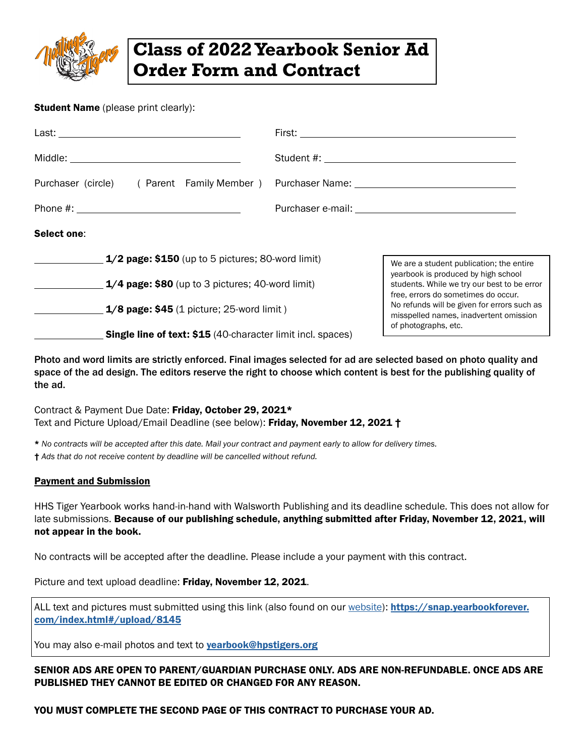

## **Class of 2022 Yearbook Senior Ad Order Form and Contract**

## **Student Name** (please print clearly):

|                                                                    | Purchaser (circle) (Parent Family Member) Purchaser Name: ______________________                                          |
|--------------------------------------------------------------------|---------------------------------------------------------------------------------------------------------------------------|
|                                                                    |                                                                                                                           |
| Select one:                                                        |                                                                                                                           |
| $1/2$ page: \$150 (up to 5 pictures; 80-word limit)                | We are a student publication; the entire                                                                                  |
| $1/4$ page: \$80 (up to 3 pictures; 40-word limit)                 | yearbook is produced by high school<br>students. While we try our best to be error<br>free, errors do sometimes do occur. |
| $1/8$ page: \$45 (1 picture; 25-word limit)                        | No refunds will be given for errors such as<br>misspelled names, inadvertent omission                                     |
| <b>Single line of text: \$15 (40-character limit incl. spaces)</b> | of photographs, etc.                                                                                                      |

Photo and word limits are strictly enforced. Final images selected for ad are selected based on photo quality and space of the ad design. The editors reserve the right to choose which content is best for the publishing quality of the ad.

Contract & Payment Due Date: Friday, October 29, 2021\* Text and Picture Upload/Email Deadline (see below): Friday, November 12, 2021 †

\* *No contracts will be accepted after this date. Mail your contract and payment early to allow for delivery times.*

† *Ads that do not receive content by deadline will be cancelled without refund.*

## Payment and Submission

HHS Tiger Yearbook works hand-in-hand with Walsworth Publishing and its deadline schedule. This does not allow for late submissions. Because of our publishing schedule, anything submitted after Friday, November 12, 2021, will not appear in the book.

No contracts will be accepted after the deadline. Please include a your payment with this contract.

Picture and text upload deadline: Friday, November 12, 2021.

ALL text and pictures must submitted using this link (also found on our [website\)](http://tigeryearbook.com): [https://snap.yearbookforever.](https://snap.yearbookforever.com/index.html#/upload/8145) [com/index.html#/upload/8145](https://snap.yearbookforever.com/index.html#/upload/8145)

You may also e-mail photos and text to **[yearbook@hpstigers.org](mailto:yearbook@hpstigers.org)** 

## SENIOR ADS ARE OPEN TO PARENT/GUARDIAN PURCHASE ONLY. ADS ARE NON-REFUNDABLE. ONCE ADS ARE PUBLISHED THEY CANNOT BE EDITED OR CHANGED FOR ANY REASON.

YOU MUST COMPLETE THE SECOND PAGE OF THIS CONTRACT TO PURCHASE YOUR AD.